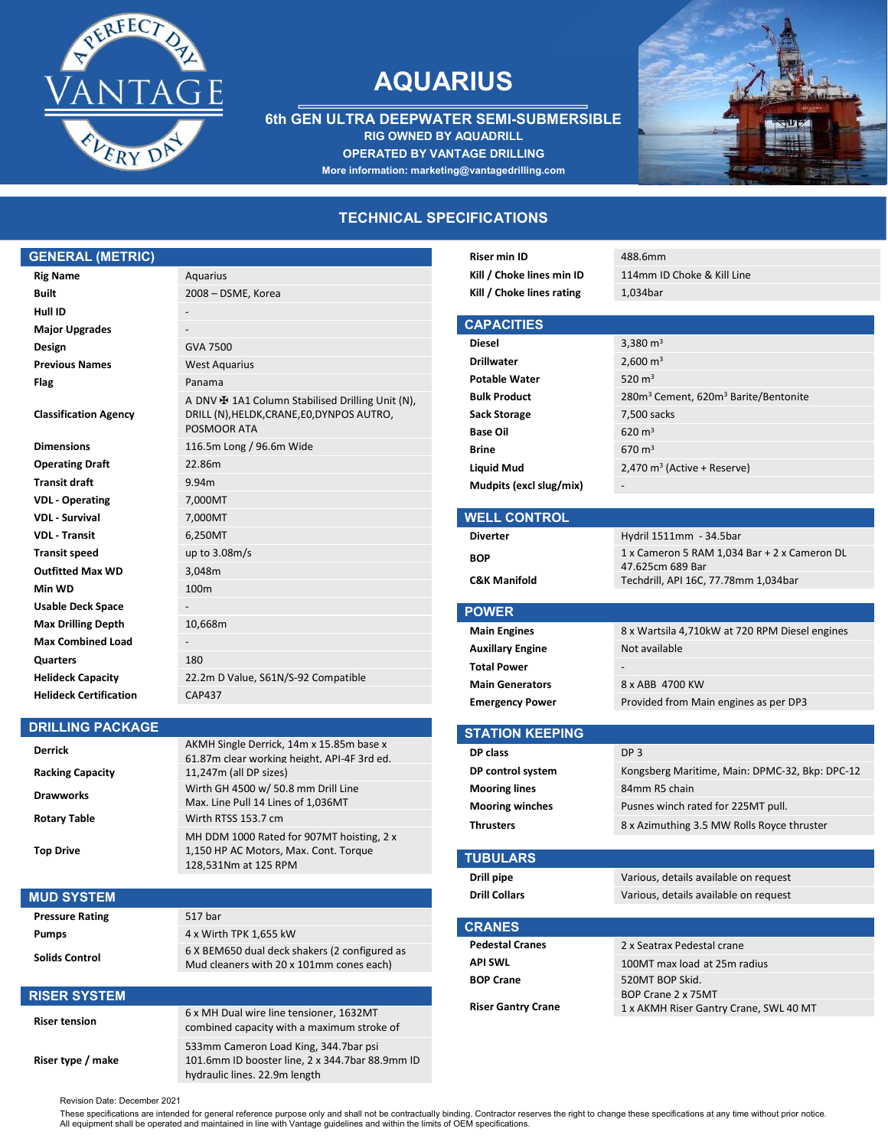

# AQUARIUS

6th GEN ULTRA DEEPWATER SEMI-SUBMERSIBLE RIG OWNED BY AQUADRILL OPERATED BY VANTAGE DRILLING More information: marketing@vantagedrilling.com



## TECHNICAL SPECIFICATIONS

## GENERAL (METRIC)

| <b>Rig Name</b>               | Aquarius                                                                                                                |
|-------------------------------|-------------------------------------------------------------------------------------------------------------------------|
| <b>Built</b>                  | 2008 - DSME, Korea                                                                                                      |
| Hull ID                       |                                                                                                                         |
| <b>Major Upgrades</b>         |                                                                                                                         |
| Design                        | GVA 7500                                                                                                                |
| <b>Previous Names</b>         | <b>West Aquarius</b>                                                                                                    |
| Flag                          | Panama                                                                                                                  |
| <b>Classification Agency</b>  | A DNV $\bigoplus$ 1A1 Column Stabilised Drilling Unit (N),<br>DRILL (N), HELDK, CRANE, EO, DYNPOS AUTRO,<br>POSMOOR ATA |
| <b>Dimensions</b>             | 116.5m Long / 96.6m Wide                                                                                                |
| <b>Operating Draft</b>        | 22.86m                                                                                                                  |
| <b>Transit draft</b>          | 9.94m                                                                                                                   |
| <b>VDL</b> - Operating        | 7,000MT                                                                                                                 |
| <b>VDL</b> - Survival         | 7,000MT                                                                                                                 |
| <b>VDL</b> Transit            | 6,250MT                                                                                                                 |
| <b>Transit speed</b>          | up to $3.08m/s$                                                                                                         |
| <b>Outfitted Max WD</b>       | 3,048m                                                                                                                  |
| Min WD                        | 100 <sub>m</sub>                                                                                                        |
| <b>Usable Deck Space</b>      |                                                                                                                         |
| <b>Max Drilling Depth</b>     | 10,668m                                                                                                                 |
| <b>Max Combined Load</b>      |                                                                                                                         |
| <b>Quarters</b>               | 180                                                                                                                     |
| <b>Helideck Capacity</b>      | 22.2m D Value, S61N/S-92 Compatible                                                                                     |
| <b>Helideck Certification</b> | <b>CAP437</b>                                                                                                           |

### DRILLING PACKAGE

| <b>Derrick</b><br><b>Racking Capacity</b> | AKMH Single Derrick, 14m x 15.85m base x<br>61.87m clear working height. API-4F 3rd ed.<br>11,247m (all DP sizes) |
|-------------------------------------------|-------------------------------------------------------------------------------------------------------------------|
| <b>Drawworks</b>                          | Wirth GH 4500 w/ 50.8 mm Drill Line<br>Max. Line Pull 14 Lines of 1,036MT                                         |
| <b>Rotary Table</b>                       | Wirth RTSS 153.7 cm                                                                                               |
| <b>Top Drive</b>                          | MH DDM 1000 Rated for 907MT hoisting, 2 x<br>1,150 HP AC Motors, Max. Cont. Torque<br>128,531Nm at 125 RPM        |

| <b>MUD SYSTEM</b>      |                                                                                           |
|------------------------|-------------------------------------------------------------------------------------------|
| <b>Pressure Rating</b> | 517 bar                                                                                   |
| <b>Pumps</b>           | 4 x Wirth TPK 1,655 kW                                                                    |
| <b>Solids Control</b>  | 6 X BEM650 dual deck shakers (2 configured as<br>Mud cleaners with 20 x 101mm cones each) |
| <b>RISER SYSTEM</b>    |                                                                                           |
| <b>Riser tension</b>   | 6 x MH Dual wire line tensioner, 1632MT<br>combined capacity with a maximum stroke of     |
| Riser type / make      | 533mm Cameron Load King, 344.7bar psi<br>101.6mm ID booster line, 2 x 344.7bar 88.9mm ID  |

hydraulic lines. 22.9m length

| 488.6mm                                                                 |
|-------------------------------------------------------------------------|
| 114mm ID Choke & Kill Line                                              |
| 1.034bar                                                                |
|                                                                         |
|                                                                         |
| 3,380 $m3$                                                              |
| 2,600 $m3$                                                              |
| 520 $m3$                                                                |
| 280m <sup>3</sup> Cement, 620m <sup>3</sup> Barite/Bentonite            |
| 7,500 sacks                                                             |
| $620 \text{ m}^3$                                                       |
| $670 \text{ m}^3$                                                       |
| $2,470$ m <sup>3</sup> (Active + Reserve)                               |
|                                                                         |
|                                                                         |
|                                                                         |
| Hydril 1511mm - 34.5bar<br>1 x Cameron 5 RAM 1,034 Bar + 2 x Cameron DL |
| 47.625cm 689 Bar                                                        |
| Techdrill, API 16C, 77.78mm 1,034bar                                    |
|                                                                         |
|                                                                         |
|                                                                         |
| 8 x Wartsila 4,710kW at 720 RPM Diesel engines                          |
| Not available                                                           |
|                                                                         |
| 8 x ABB 4700 KW                                                         |
| Provided from Main engines as per DP3                                   |
|                                                                         |
| DP <sub>3</sub>                                                         |
|                                                                         |
| Kongsberg Maritime, Main: DPMC-32, Bkp: DPC-12                          |
| 84mm R5 chain                                                           |
| Pusnes winch rated for 225MT pull.                                      |
| 8 x Azimuthing 3.5 MW Rolls Royce thruster                              |
|                                                                         |
| Various, details available on request                                   |
| Various, details available on request                                   |
|                                                                         |
|                                                                         |

| <b>Pedestal Cranes</b>    | 2 x Seatrax Pedestal crane             |
|---------------------------|----------------------------------------|
| API SWL                   | 100MT max load at 25m radius           |
| <b>BOP Crane</b>          | 520MT BOP Skid.                        |
|                           | BOP Crane 2 x 75MT                     |
| <b>Riser Gantry Crane</b> | 1 x AKMH Riser Gantry Crane, SWL 40 MT |

Revision Date: December 2021

These specifications are intended for general reference purpose only and shall not be contractually binding. Contractor reserves the right to change these specifications at any time without prior notice.<br>All equipment shal